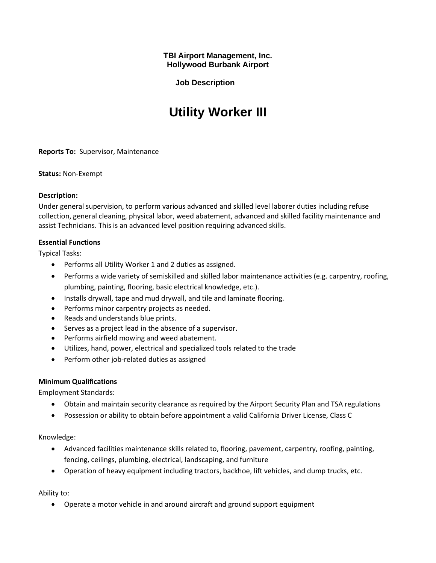**TBI Airport Management, Inc. Hollywood Burbank Airport**

**Job Description**

# **Utility Worker III**

**Reports To:** Supervisor, Maintenance

**Status:** Non-Exempt

### **Description:**

Under general supervision, to perform various advanced and skilled level laborer duties including refuse collection, general cleaning, physical labor, weed abatement, advanced and skilled facility maintenance and assist Technicians. This is an advanced level position requiring advanced skills.

## **Essential Functions**

Typical Tasks:

- Performs all Utility Worker 1 and 2 duties as assigned.
- Performs a wide variety of semiskilled and skilled labor maintenance activities (e.g. carpentry, roofing, plumbing, painting, flooring, basic electrical knowledge, etc.).
- Installs drywall, tape and mud drywall, and tile and laminate flooring.
- Performs minor carpentry projects as needed.
- Reads and understands blue prints.
- Serves as a project lead in the absence of a supervisor.
- Performs airfield mowing and weed abatement.
- Utilizes, hand, power, electrical and specialized tools related to the trade
- Perform other job-related duties as assigned

## **Minimum Qualifications**

Employment Standards:

- Obtain and maintain security clearance as required by the Airport Security Plan and TSA regulations
- Possession or ability to obtain before appointment a valid California Driver License, Class C

Knowledge:

- Advanced facilities maintenance skills related to, flooring, pavement, carpentry, roofing, painting, fencing, ceilings, plumbing, electrical, landscaping, and furniture
- Operation of heavy equipment including tractors, backhoe, lift vehicles, and dump trucks, etc.

Ability to:

• Operate a motor vehicle in and around aircraft and ground support equipment